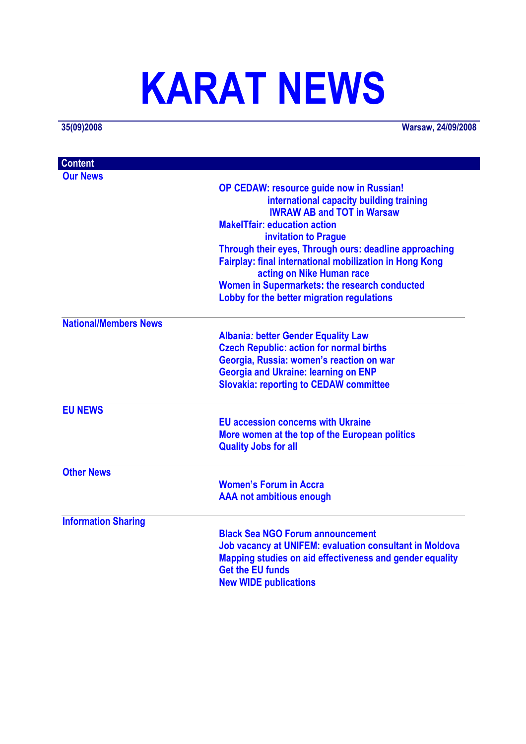# **KARAT NEWS**

**35(09)2008 Warsaw, 24/09/2008**

| <b>Content</b>               |                                                                |
|------------------------------|----------------------------------------------------------------|
| <b>Our News</b>              |                                                                |
|                              | OP CEDAW: resource guide now in Russian!                       |
|                              | international capacity building training                       |
|                              | <b>IWRAW AB and TOT in Warsaw</b>                              |
|                              | <b>MakelTfair: education action</b>                            |
|                              | invitation to Prague                                           |
|                              | Through their eyes, Through ours: deadline approaching         |
|                              | <b>Fairplay: final international mobilization in Hong Kong</b> |
|                              | acting on Nike Human race                                      |
|                              | Women in Supermarkets: the research conducted                  |
|                              | Lobby for the better migration regulations                     |
| <b>National/Members News</b> |                                                                |
|                              | <b>Albania: better Gender Equality Law</b>                     |
|                              | <b>Czech Republic: action for normal births</b>                |
|                              | Georgia, Russia: women's reaction on war                       |
|                              | <b>Georgia and Ukraine: learning on ENP</b>                    |
|                              | <b>Slovakia: reporting to CEDAW committee</b>                  |
| <b>EU NEWS</b>               |                                                                |
|                              | <b>EU accession concerns with Ukraine</b>                      |
|                              | More women at the top of the European politics                 |
|                              | <b>Quality Jobs for all</b>                                    |
| <b>Other News</b>            |                                                                |
|                              | <b>Women's Forum in Accra</b>                                  |
|                              | <b>AAA not ambitious enough</b>                                |
| <b>Information Sharing</b>   |                                                                |
|                              | <b>Black Sea NGO Forum announcement</b>                        |
|                              | <b>Job vacancy at UNIFEM: evaluation consultant in Moldova</b> |
|                              | Mapping studies on aid effectiveness and gender equality       |
|                              | <b>Get the EU funds</b>                                        |
|                              | <b>New WIDE publications</b>                                   |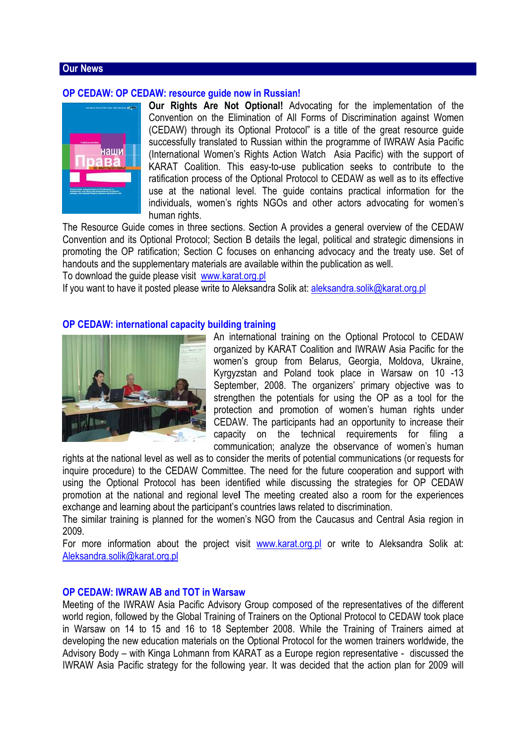#### **Our News**

#### **OP CEDAW: OP CEDAW: resource guide now in Russian!**



**Our Rights Are Not Optional!** Advocating for the implementation of the Convention on the Elimination of All Forms of Discrimination against Women (CEDAW) through its Optional Protocol" is a title of the great resource guide successfully translated to Russian within the programme of IWRAW Asia Pacific (International Women's Rights Action Watch Asia Pacific) with the support of KARAT Coalition. This easy-to-use publication seeks to contribute to the ratification process of the Optional Protocol to CEDAW as well as to its effective use at the national level. The guide contains practical information for the individuals, women's rights NGOs and other actors advocating for women's human rights.

The Resource Guide comes in three sections. Section A provides a general overview of the CEDAW Convention and its Optional Protocol; Section B details the legal, political and strategic dimensions in promoting the OP ratification; Section C focuses on enhancing advocacy and the treaty use. Set of handouts and the supplementary materials are available within the publication as well.

To download the guide please visit www.karat.org.pl

If you want to have it posted please write to Aleksandra Solik at: aleksandra.solik@karat.org.pl

#### **OP CEDAW: international capacity building training**



An international training on the Optional Protocol to CEDAW organized by KARAT Coalition and IWRAW Asia Pacific for the women's group from Belarus, Georgia, Moldova, Ukraine, Kyrgyzstan and Poland took place in Warsaw on 10 -13 September, 2008. The organizers' primary objective was to strengthen the potentials for using the OP as a tool for the protection and promotion of women's human rights under CEDAW. The participants had an opportunity to increase their capacity on the technical requirements for filing a communication; analyze the observance of women's human

rights at the national level as well as to consider the merits of potential communications (or requests for inquire procedure) to the CEDAW Committee. The need for the future cooperation and support with using the Optional Protocol has been identified while discussing the strategies for OP CEDAW promotion at the national and regional leve**l** The meeting created also a room for the experiences exchange and learning about the participant's countries laws related to discrimination.

The similar training is planned for the women's NGO from the Caucasus and Central Asia region in 2009.

For more information about the project visit www.karat.org.pl or write to Aleksandra Solik at: Aleksandra.solik@karat.org.pl

#### **OP CEDAW: IWRAW AB and TOT in Warsaw**

Meeting of the IWRAW Asia Pacific Advisory Group composed of the representatives of the different world region, followed by the Global Training of Trainers on the Optional Protocol to CEDAW took place in Warsaw on 14 to 15 and 16 to 18 September 2008. While the Training of Trainers aimed at developing the new education materials on the Optional Protocol for the women trainers worldwide, the Advisory Body – with Kinga Lohmann from KARAT as a Europe region representative - discussed the IWRAW Asia Pacific strategy for the following year. It was decided that the action plan for 2009 will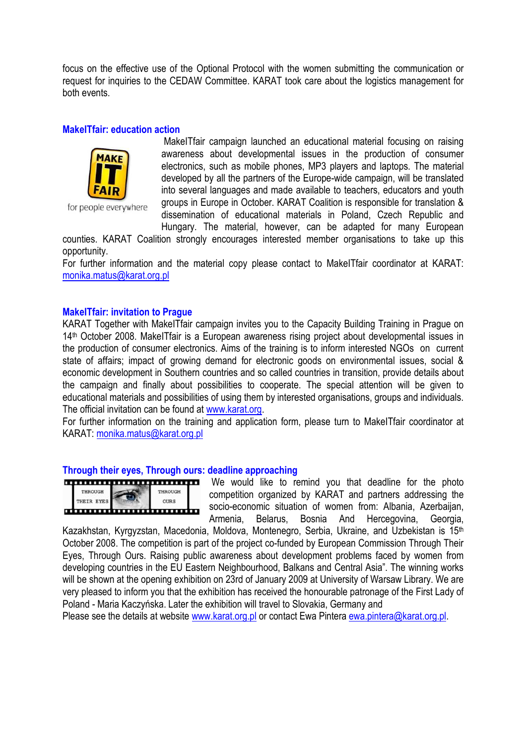focus on the effective use of the Optional Protocol with the women submitting the communication or request for inquiries to the CEDAW Committee. KARAT took care about the logistics management for both events.

#### **MakeITfair: education action**



for people everywhere

 MakeITfair campaign launched an educational material focusing on raising awareness about developmental issues in the production of consumer electronics, such as mobile phones, MP3 players and laptops. The material developed by all the partners of the Europe-wide campaign, will be translated into several languages and made available to teachers, educators and youth groups in Europe in October. KARAT Coalition is responsible for translation & dissemination of educational materials in Poland, Czech Republic and Hungary. The material, however, can be adapted for many European

counties. KARAT Coalition strongly encourages interested member organisations to take up this opportunity.

For further information and the material copy please contact to MakeITfair coordinator at KARAT: monika.matus@karat.org.pl

# **MakeITfair: invitation to Prague**

KARAT Together with MakeITfair campaign invites you to the Capacity Building Training in Prague on 14th October 2008. MakeITfair is a European awareness rising project about developmental issues in the production of consumer electronics. Aims of the training is to inform interested NGOs on current state of affairs; impact of growing demand for electronic goods on environmental issues, social & economic development in Southern countries and so called countries in transition, provide details about the campaign and finally about possibilities to cooperate. The special attention will be given to educational materials and possibilities of using them by interested organisations, groups and individuals. The official invitation can be found at www.karat.org.

For further information on the training and application form, please turn to MakeITfair coordinator at KARAT: monika.matus@karat.org.pl

#### **Through their eyes, Through ours: deadline approaching**



 We would like to remind you that deadline for the photo competition organized by KARAT and partners addressing the socio-economic situation of women from: Albania, Azerbaijan, Armenia, Belarus, Bosnia And Hercegovina, Georgia,

Kazakhstan, Kyrgyzstan, Macedonia, Moldova, Montenegro, Serbia, Ukraine, and Uzbekistan is 15th October 2008. The competition is part of the project co-funded by European Commission Through Their Eyes, Through Ours. Raising public awareness about development problems faced by women from developing countries in the EU Eastern Neighbourhood, Balkans and Central Asia". The winning works will be shown at the opening exhibition on 23rd of January 2009 at University of Warsaw Library. We are very pleased to inform you that the exhibition has received the honourable patronage of the First Lady of Poland - Maria Kaczyńska. Later the exhibition will travel to Slovakia, Germany and

Please see the details at website www.karat.org.pl or contact Ewa Pintera ewa.pintera@karat.org.pl.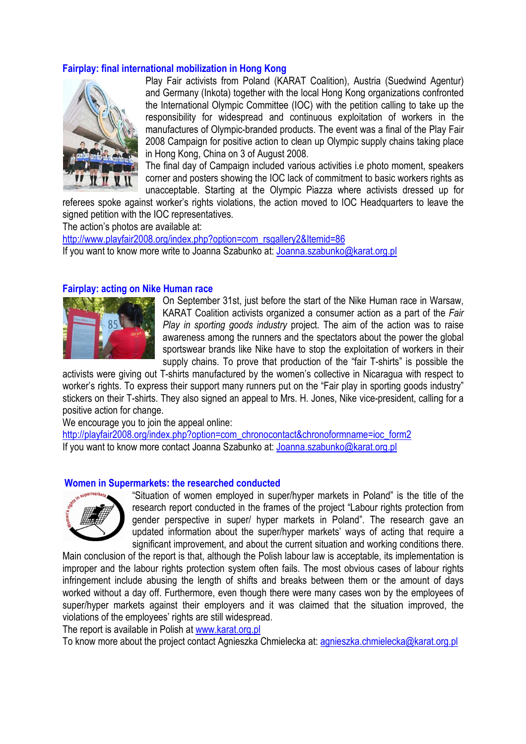# **Fairplay: final international mobilization in Hong Kong**



Play Fair activists from Poland (KARAT Coalition), Austria (Suedwind Agentur) and Germany (Inkota) together with the local Hong Kong organizations confronted the International Olympic Committee (IOC) with the petition calling to take up the responsibility for widespread and continuous exploitation of workers in the manufactures of Olympic-branded products. The event was a final of the Play Fair 2008 Campaign for positive action to clean up Olympic supply chains taking place in Hong Kong, China on 3 of August 2008.

The final day of Campaign included various activities i.e photo moment, speakers corner and posters showing the IOC lack of commitment to basic workers rights as unacceptable. Starting at the Olympic Piazza where activists dressed up for

referees spoke against worker's rights violations, the action moved to IOC Headquarters to leave the signed petition with the IOC representatives.

The action's photos are available at:

http://www.playfair2008.org/index.php?option=com\_rsgallery2&Itemid=86 If you want to know more write to Joanna Szabunko at: Joanna.szabunko@karat.org.pl

#### **Fairplay: acting on Nike Human race**



On September 31st, just before the start of the Nike Human race in Warsaw, KARAT Coalition activists organized a consumer action as a part of the *Fair Play in sporting goods industry* project. The aim of the action was to raise awareness among the runners and the spectators about the power the global sportswear brands like Nike have to stop the exploitation of workers in their supply chains. To prove that production of the "fair T-shirts" is possible the

activists were giving out T-shirts manufactured by the women's collective in Nicaragua with respect to worker's rights. To express their support many runners put on the "Fair play in sporting goods industry" stickers on their T-shirts. They also signed an appeal to Mrs. H. Jones, Nike vice-president, calling for a positive action for change.

We encourage you to join the appeal online:

http://playfair2008.org/index.php?option=com\_chronocontact&chronoformname=ioc\_form2 If you want to know more contact Joanna Szabunko at: Joanna.szabunko@karat.org.pl

#### **Women in Supermarkets: the researched conducted**



"Situation of women employed in super/hyper markets in Poland" is the title of the research report conducted in the frames of the project "Labour rights protection from gender perspective in super/ hyper markets in Poland". The research gave an updated information about the super/hyper markets' ways of acting that require a significant improvement, and about the current situation and working conditions there.

Main conclusion of the report is that, although the Polish labour law is acceptable, its implementation is improper and the labour rights protection system often fails. The most obvious cases of labour rights infringement include abusing the length of shifts and breaks between them or the amount of days worked without a day off. Furthermore, even though there were many cases won by the employees of super/hyper markets against their employers and it was claimed that the situation improved, the violations of the employees' rights are still widespread.

The report is available in Polish at www.karat.org.pl

To know more about the project contact Agnieszka Chmielecka at: agnieszka.chmielecka@karat.org.pl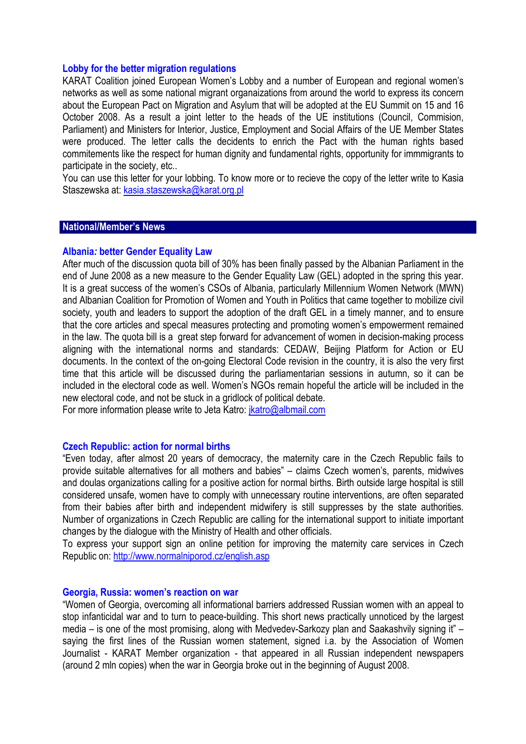#### **Lobby for the better migration regulations**

KARAT Coalition joined European Women's Lobby and a number of European and regional women's networks as well as some national migrant organaizations from around the world to express its concern about the European Pact on Migration and Asylum that will be adopted at the EU Summit on 15 and 16 October 2008. As a result a joint letter to the heads of the UE institutions (Council, Commision, Parliament) and Ministers for Interior, Justice, Employment and Social Affairs of the UE Member States were produced. The letter calls the decidents to enrich the Pact with the human rights based commitements like the respect for human dignity and fundamental rights, opportunity for immmigrants to participate in the society, etc..

You can use this letter for your lobbing. To know more or to recieve the copy of the letter write to Kasia Staszewska at: kasia.staszewska@karat.org.pl

#### **National/Member's News**

#### **Albania***:* **better Gender Equality Law**

After much of the discussion quota bill of 30% has been finally passed by the Albanian Parliament in the end of June 2008 as a new measure to the Gender Equality Law (GEL) adopted in the spring this year. It is a great success of the women's CSOs of Albania, particularly Millennium Women Network (MWN) and Albanian Coalition for Promotion of Women and Youth in Politics that came together to mobilize civil society, youth and leaders to support the adoption of the draft GEL in a timely manner, and to ensure that the core articles and specal measures protecting and promoting women's empowerment remained in the law. The quota bill is a great step forward for advancement of women in decision-making process aligning with the international norms and standards: CEDAW, Beijing Platform for Action or EU documents. In the context of the on-going Electoral Code revision in the country, it is also the very first time that this article will be discussed during the parliamentarian sessions in autumn, so it can be included in the electoral code as well. Women's NGOs remain hopeful the article will be included in the new electoral code, and not be stuck in a gridlock of political debate.

For more information please write to Jeta Katro: jkatro@albmail.com

#### **Czech Republic: action for normal births**

"Even today, after almost 20 years of democracy, the maternity care in the Czech Republic fails to provide suitable alternatives for all mothers and babies" – claims Czech women's, parents, midwives and doulas organizations calling for a positive action for normal births. Birth outside large hospital is still considered unsafe, women have to comply with unnecessary routine interventions, are often separated from their babies after birth and independent midwifery is still suppresses by the state authorities. Number of organizations in Czech Republic are calling for the international support to initiate important changes by the dialogue with the Ministry of Health and other officials.

To express your support sign an online petition for improving the maternity care services in Czech Republic on: http://www.normalniporod.cz/english.asp

#### **Georgia, Russia: women's reaction on war**

"Women of Georgia, overcoming all informational barriers addressed Russian women with an appeal to stop infanticidal war and to turn to peace-building. This short news practically unnoticed by the largest media – is one of the most promising, along with Medvedev-Sarkozy plan and Saakashvily signing it" – saying the first lines of the Russian women statement, signed i.a. by the Association of Women Journalist - KARAT Member organization - that appeared in all Russian independent newspapers (around 2 mln copies) when the war in Georgia broke out in the beginning of August 2008.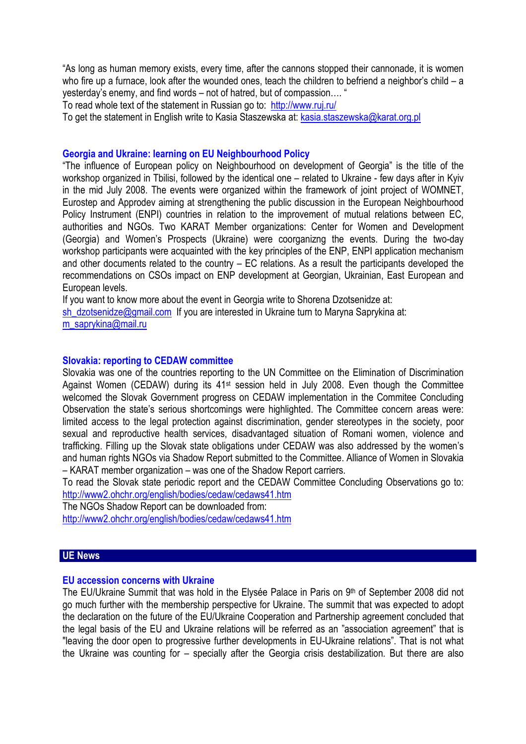"As long as human memory exists, every time, after the cannons stopped their cannonade, it is women who fire up a furnace, look after the wounded ones, teach the children to befriend a neighbor's child – a yesterday's enemy, and find words – not of hatred, but of compassion…. "

To read whole text of the statement in Russian go to: http://www.ruj.ru/

To get the statement in English write to Kasia Staszewska at: kasia.staszewska@karat.org.pl

#### **Georgia and Ukraine: learning on EU Neighbourhood Policy**

"The influence of European policy on Neighbourhood on development of Georgia" is the title of the workshop organized in Tbilisi, followed by the identical one – related to Ukraine - few days after in Kyiv in the mid July 2008. The events were organized within the framework of joint project of WOMNET, Eurostep and Approdev aiming at strengthening the public discussion in the European Neighbourhood Policy Instrument (ENPI) countries in relation to the improvement of mutual relations between EC, authorities and NGOs. Two KARAT Member organizations: Center for Women and Development (Georgia) and Women's Prospects (Ukraine) were coorganizng the events. During the two-day workshop participants were acquainted with the key principles of the ENP, ENPI application mechanism and other documents related to the country – EC relations. As a result the participants developed the recommendations on CSOs impact on ENP development at Georgian, Ukrainian, East European and European levels.

If you want to know more about the event in Georgia write to Shorena Dzotsenidze at:

sh\_dzotsenidze@gmail.com If you are interested in Ukraine turn to Maryna Saprykina at:

m\_saprykina@mail.ru

#### **Slovakia: reporting to CEDAW committee**

Slovakia was one of the countries reporting to the UN Committee on the Elimination of Discrimination Against Women (CEDAW) during its 41st session held in July 2008. Even though the Committee welcomed the Slovak Government progress on CEDAW implementation in the Commitee Concluding Observation the state's serious shortcomings were highlighted. The Committee concern areas were: limited access to the legal protection against discrimination, gender stereotypes in the society, poor sexual and reproductive health services, disadvantaged situation of Romani women, violence and trafficking. Filling up the Slovak state obligations under CEDAW was also addressed by the women's and human rights NGOs via Shadow Report submitted to the Committee. Alliance of Women in Slovakia – KARAT member organization – was one of the Shadow Report carriers.

To read the Slovak state periodic report and the CEDAW Committee Concluding Observations go to: http://www2.ohchr.org/english/bodies/cedaw/cedaws41.htm

The NGOs Shadow Report can be downloaded from:

http://www2.ohchr.org/english/bodies/cedaw/cedaws41.htm

#### **UE News**

#### **EU accession concerns with Ukraine**

The EU/Ukraine Summit that was hold in the Elysée Palace in Paris on 9<sup>th</sup> of September 2008 did not go much further with the membership perspective for Ukraine. The summit that was expected to adopt the declaration on the future of the EU/Ukraine Cooperation and Partnership agreement concluded that the legal basis of the EU and Ukraine relations will be referred as an "association agreement" that is "leaving the door open to progressive further developments in EU-Ukraine relations". That is not what the Ukraine was counting for – specially after the Georgia crisis destabilization. But there are also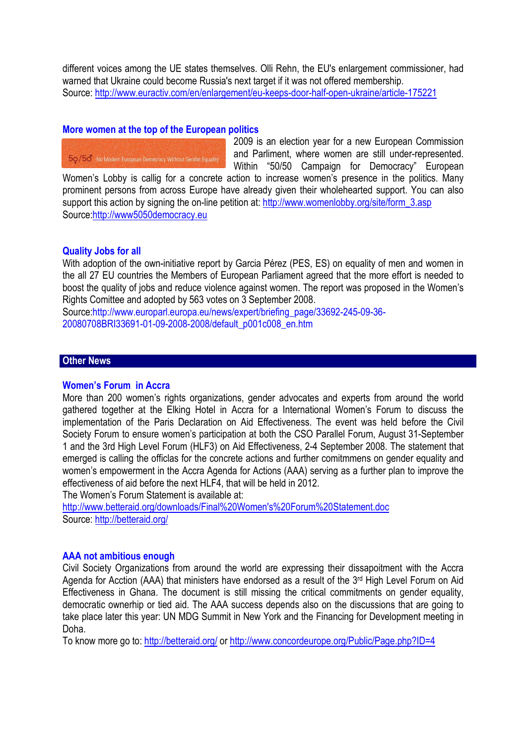different voices among the UE states themselves. Olli Rehn, the EU's enlargement commissioner, had warned that Ukraine could become Russia's next target if it was not offered membership. Source: http://www.euractiv.com/en/enlargement/eu-keeps-door-half-open-ukraine/article-175221

# **More women at the top of the European politics**

50/56 No Modern European Democracy Without Gender Equality

2009 is an election year for a new European Commission and Parliment, where women are still under-represented. Within "50/50 Campaign for Democracy" European

Women's Lobby is callig for a concrete action to increase women's presence in the politics. Many prominent persons from across Europe have already given their wholehearted support. You can also support this action by signing the on-line petition at: http://www.womenlobby.org/site/form\_3.asp Source:http://www5050democracy.eu

# **Quality Jobs for all**

With adoption of the own-initiative report by Garcia Pérez (PES, ES) on equality of men and women in the all 27 EU countries the Members of European Parliament agreed that the more effort is needed to boost the quality of jobs and reduce violence against women. The report was proposed in the Women's Rights Comittee and adopted by 563 votes on 3 September 2008.

Source:http://www.europarl.europa.eu/news/expert/briefing\_page/33692-245-09-36- 20080708BRI33691-01-09-2008-2008/default\_p001c008\_en.htm

#### **Other News**

#### **Women's Forum in Accra**

More than 200 women's rights organizations, gender advocates and experts from around the world gathered together at the Elking Hotel in Accra for a International Women's Forum to discuss the implementation of the Paris Declaration on Aid Effectiveness. The event was held before the Civil Society Forum to ensure women's participation at both the CSO Parallel Forum, August 31-September 1 and the 3rd High Level Forum (HLF3) on Aid Effectiveness, 2-4 September 2008. The statement that emerged is calling the officlas for the concrete actions and further comitmmens on gender equality and women's empowerment in the Accra Agenda for Actions (AAA) serving as a further plan to improve the effectiveness of aid before the next HLF4, that will be held in 2012.

The Women's Forum Statement is available at:

http://www.betteraid.org/downloads/Final%20Women's%20Forum%20Statement.doc Source: http://betteraid.org/

#### **AAA not ambitious enough**

Civil Society Organizations from around the world are expressing their dissapoitment with the Accra Agenda for Acction (AAA) that ministers have endorsed as a result of the 3<sup>rd</sup> High Level Forum on Aid Effectiveness in Ghana. The document is still missing the critical commitments on gender equality, democratic ownerhip or tied aid. The AAA success depends also on the discussions that are going to take place later this year: UN MDG Summit in New York and the Financing for Development meeting in Doha.

To know more go to: http://betteraid.org/ or http://www.concordeurope.org/Public/Page.php?ID=4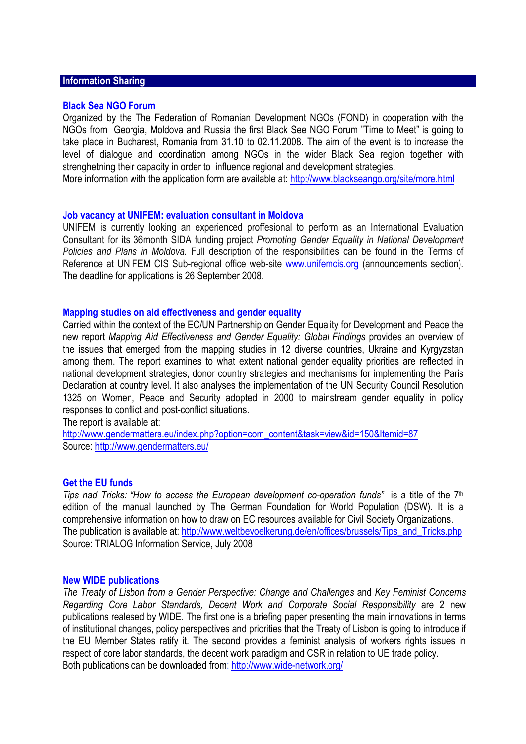# **Information Sharing**

#### **Black Sea NGO Forum**

Organized by the The Federation of Romanian Development NGOs (FOND) in cooperation with the NGOs from Georgia, Moldova and Russia the first Black See NGO Forum "Time to Meet" is going to take place in Bucharest, Romania from 31.10 to 02.11.2008. The aim of the event is to increase the level of dialogue and coordination among NGOs in the wider Black Sea region together with strenghetning their capacity in order to influence regional and development strategies.

More information with the application form are available at: http://www.blackseango.org/site/more.html

#### **Job vacancy at UNIFEM: evaluation consultant in Moldova**

UNIFEM is currently looking an experienced proffesional to perform as an International Evaluation Consultant for its 36month SIDA funding project *Promoting Gender Equality in National Development Policies and Plans in Moldova.* Full description of the responsibilities can be found in the Terms of Reference at UNIFEM CIS Sub-regional office web-site www.unifemcis.org (announcements section). The deadline for applications is 26 September 2008.

#### **Mapping studies on aid effectiveness and gender equality**

Carried within the context of the EC/UN Partnership on Gender Equality for Development and Peace the new report *Mapping Aid Effectiveness and Gender Equality: Global Findings* provides an overview of the issues that emerged from the mapping studies in 12 diverse countries, Ukraine and Kyrgyzstan among them. The report examines to what extent national gender equality priorities are reflected in national development strategies, donor country strategies and mechanisms for implementing the Paris Declaration at country level. It also analyses the implementation of the UN Security Council Resolution 1325 on Women, Peace and Security adopted in 2000 to mainstream gender equality in policy responses to conflict and post-conflict situations.

The report is available at:

http://www.gendermatters.eu/index.php?option=com\_content&task=view&id=150&Itemid=87 Source: http://www.gendermatters.eu/

#### **Get the EU funds**

*Tips nad Tricks: "How to access the European development co-operation funds"* is a title of the 7<sup>th</sup> edition of the manual launched by The German Foundation for World Population (DSW). It is a comprehensive information on how to draw on EC resources available for Civil Society Organizations. The publication is available at: http://www.weltbevoelkerung.de/en/offices/brussels/Tips\_and\_Tricks.php Source: TRIALOG Information Service, July 2008

#### **New WIDE publications**

*The Treaty of Lisbon from a Gender Perspective: Change and Challenges* and *Key Feminist Concerns Regarding Core Labor Standards, Decent Work and Corporate Social Responsibility* are 2 new publications realesed by WIDE. The first one is a briefing paper presenting the main innovations in terms of institutional changes, policy perspectives and priorities that the Treaty of Lisbon is going to introduce if the EU Member States ratify it. The second provides a feminist analysis of workers rights issues in respect of core labor standards, the decent work paradigm and CSR in relation to UE trade policy. Both publications can be downloaded from: http://www.wide-network.org/